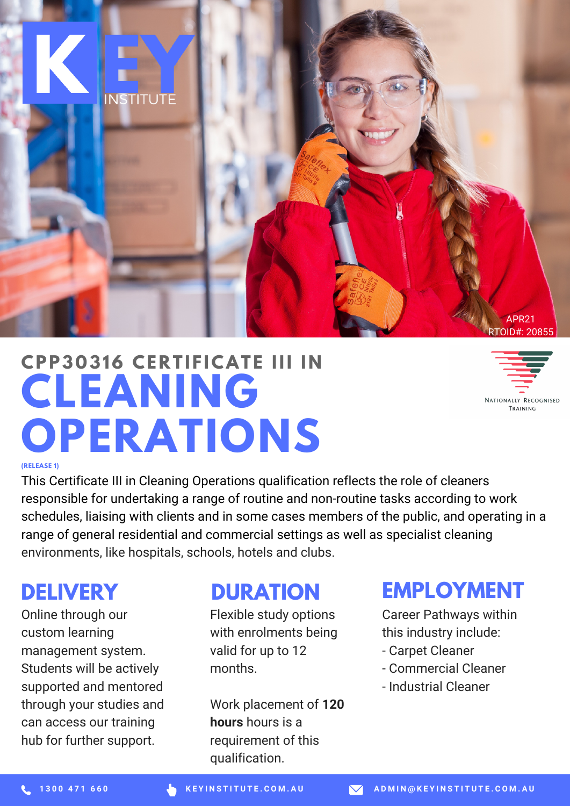

# **CLEANING OPERATIONS CPP3 0 316 CE R T I F ICAT E III I N**



#### **(RELEASE 1)**

This Certificate III in Cleaning Operations qualification reflects the role of cleaners responsible for undertaking a range of routine and non-routine tasks according to work schedules, liaising with clients and in some cases members of the public, and operating in a range of general residential and commercial settings as well as specialist cleaning environments, like hospitals, schools, hotels and clubs.

#### **DELIVERY**

Online through our custom learning management system. Students will be actively supported and mentored through your studies and can access our training hub for further support.

#### **DURATION**

Flexible study options with enrolments being valid for up to 12 months.

Work placement of **120 hours** hours is a requirement of this qualification.

#### **EMPLOYMENT**

Career Pathways within this industry include:

- Carpet Cleaner
- Commercial Cleaner
- Industrial Cleaner